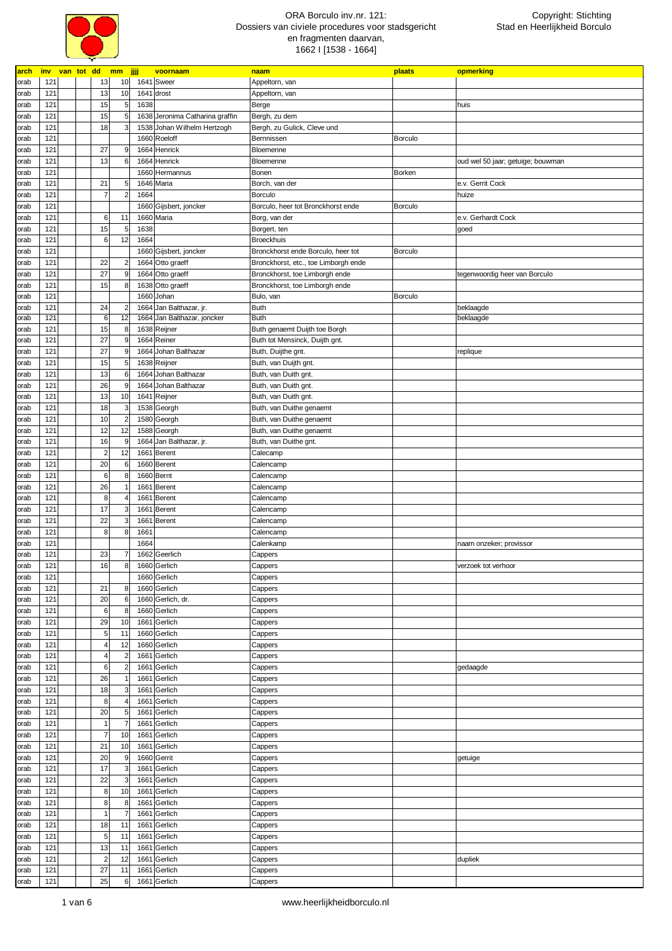

| <b>arch</b> | <u>inv</u> |  |                         | van tot dd mm jjjj |      | voornaam                        | naam                                 | plaats         | opmerking                         |
|-------------|------------|--|-------------------------|--------------------|------|---------------------------------|--------------------------------------|----------------|-----------------------------------|
| orab        | 121        |  | 13                      | 10                 |      | 1641 Sweer                      | Appeltorn, van                       |                |                                   |
| orab        | 121        |  | 13                      | 10                 |      | 1641 drost                      | Appeltorn, van                       |                |                                   |
| orab        | 121        |  | 15                      | 5                  | 1638 |                                 | Berge                                |                | huis                              |
| orab        | 121        |  | 15                      | 5 <sub>5</sub>     |      | 1638 Jeronima Catharina graffin | Bergh, zu dem                        |                |                                   |
| orab        | 121        |  | 18                      | 3                  |      | 1538 Johan Wilhelm Hertzogh     | Bergh, zu Gulick, Cleve und          |                |                                   |
|             |            |  |                         |                    |      |                                 |                                      |                |                                   |
| orab        | 121        |  |                         |                    |      | 1660 Roeloff                    | Bernnissen                           | <b>Borculo</b> |                                   |
| orab        | 121        |  | 27                      | 9                  |      | 1664 Henrick                    | Bloemenne                            |                |                                   |
| orab        | 121        |  | 13                      | 6                  |      | 1664 Henrick                    | Bloemenne                            |                | oud wel 50 jaar; getuige; bouwman |
| orab        | 121        |  |                         |                    |      | 1660 Hermannus                  | Bonen                                | Borken         |                                   |
| orab        | 121        |  | 21                      | 5 <sub>5</sub>     |      | 1646 Maria                      | Borch, van der                       |                | e.v. Gerrit Cock                  |
| orab        | 121        |  | $\overline{7}$          | $\overline{2}$     | 1664 |                                 | Borculo                              |                | huize                             |
| orab        | 121        |  |                         |                    |      | 1660 Gijsbert, joncker          | Borculo, heer tot Bronckhorst ende   | Borculo        |                                   |
| orab        | 121        |  | 6                       | 11                 |      | 1660 Maria                      | Borg, van der                        |                | e.v. Gerhardt Cock                |
| orab        | 121        |  | 15                      | 5                  | 1638 |                                 | Borgert, ten                         |                | goed                              |
| orab        | 121        |  | 6                       | 12                 | 1664 |                                 | <b>Broeckhuis</b>                    |                |                                   |
|             | 121        |  |                         |                    |      |                                 | Bronckhorst ende Borculo, heer tot   | Borculo        |                                   |
| orab        |            |  |                         |                    |      | 1660 Gijsbert, joncker          |                                      |                |                                   |
| orab        | 121        |  | 22                      | 2                  |      | 1664 Otto graeff                | Bronckhorst, etc., toe Limborgh ende |                |                                   |
| orab        | 121        |  | 27                      | 9                  |      | 1664 Otto graeff                | Bronckhorst, toe Limborgh ende       |                | tegenwoordig heer van Borculo     |
| orab        | 121        |  | 15                      | 8                  |      | 1638 Otto graeff                | Bronckhorst, toe Limborgh ende       |                |                                   |
| orab        | 121        |  |                         |                    |      | 1660 Johan                      | Bulo, van                            | <b>Borculo</b> |                                   |
| orab        | 121        |  | 24                      |                    |      | 1664 Jan Balthazar, jr.         | <b>Buth</b>                          |                | beklaagde                         |
| orab        | 121        |  | $\,6$                   | 12                 |      | 1664 Jan Balthazar, joncker     | <b>Buth</b>                          |                | beklaagde                         |
| orab        | 121        |  | 15                      | 8                  |      | 1638 Reijner                    | Buth genaemt Duijth toe Borgh        |                |                                   |
| orab        | 121        |  | 27                      | 9                  |      | 1664 Reiner                     | Buth tot Mensinck, Duijth gnt.       |                |                                   |
| orab        | 121        |  | 27                      |                    |      | 1664 Johan Balthazar            | Buth, Duijthe gnt.                   |                | replique                          |
| orab        | 121        |  | 15                      | 5                  |      | 1638 Reijner                    | Buth, van Duijth gnt.                |                |                                   |
| orab        | 121        |  | 13                      | 6                  |      | 1664 Johan Balthazar            | Buth, van Duith gnt.                 |                |                                   |
|             |            |  |                         |                    |      |                                 |                                      |                |                                   |
| orab        | 121        |  | 26                      | 9                  |      | 1664 Johan Balthazar            | Buth, van Duith gnt.                 |                |                                   |
| orab        | 121        |  | 13                      | 10                 |      | 1641 Reijner                    | Buth, van Duith gnt.                 |                |                                   |
| orab        | 121        |  | 18                      | 3                  |      | 1538 Georgh                     | Buth, van Duithe genaemt             |                |                                   |
| orab        | 121        |  | 10                      | $\overline{2}$     |      | 1580 Georgh                     | Buth, van Duithe genaemt             |                |                                   |
| orab        | 121        |  | 12                      | 12                 |      | 1588 Georgh                     | Buth, van Duithe genaemt             |                |                                   |
| orab        | 121        |  | 16                      | 9                  |      | 1664 Jan Balthazar, jr.         | Buth, van Duithe gnt.                |                |                                   |
| orab        | 121        |  | $\overline{a}$          | 12                 |      | 1661 Berent                     | Calecamp                             |                |                                   |
| orab        | 121        |  | 20                      | 6                  |      | 1660 Berent                     | Calencamp                            |                |                                   |
| orab        | 121        |  | $\,6$                   | 8                  |      | 1660 Bernt                      | Calencamp                            |                |                                   |
|             |            |  | 26                      |                    |      |                                 |                                      |                |                                   |
| orab        | 121        |  |                         |                    |      | 1661 Berent                     | Calencamp                            |                |                                   |
| orab        | 121        |  | 8                       |                    |      | 1661 Berent                     | Calencamp                            |                |                                   |
| orab        | 121        |  | 17                      | 3                  |      | 1661 Berent                     | Calencamp                            |                |                                   |
| orab        | 121        |  | 22                      | 3                  |      | 1661 Berent                     | Calencamp                            |                |                                   |
| orab        | 121        |  | 8                       | 8                  | 1661 |                                 | Calencamp                            |                |                                   |
| orab        | 121        |  |                         |                    | 1664 |                                 | Calenkamp                            |                | naam onzeker; provissor           |
| orab        | 121        |  | 23                      | 7                  |      | 1662 Geerlich                   | Cappers                              |                |                                   |
| orab        | 121        |  | 16                      | 8                  |      | 1660 Gerlich                    | Cappers                              |                | verzoek tot verhoor               |
| orab        | 121        |  |                         |                    |      | 1660 Gerlich                    | Cappers                              |                |                                   |
| orab        | 121        |  | 21                      | 8                  |      | 1660 Gerlich                    | Cappers                              |                |                                   |
| orab        | 121        |  | 20                      | 6                  |      | 1660 Gerlich, dr.               | Cappers                              |                |                                   |
|             |            |  |                         |                    |      |                                 |                                      |                |                                   |
| orab        | 121        |  | $\,6$                   | 8                  |      | 1660 Gerlich                    | Cappers                              |                |                                   |
| orab        | 121        |  | 29                      | 10                 |      | 1661 Gerlich                    | Cappers                              |                |                                   |
| orab        | 121        |  | $\sqrt{5}$              | 11                 |      | 1660 Gerlich                    | Cappers                              |                |                                   |
| orab        | 121        |  | $\overline{\mathbf{4}}$ | 12                 |      | 1660 Gerlich                    | Cappers                              |                |                                   |
| orab        | 121        |  | 4                       | $\overline{2}$     |      | 1661 Gerlich                    | Cappers                              |                |                                   |
| orab        | 121        |  | $\,6$                   | $\overline{2}$     | 1661 | Gerlich                         | Cappers                              |                | gedaagde                          |
| orab        | 121        |  | 26                      |                    |      | 1661 Gerlich                    | Cappers                              |                |                                   |
| orab        | 121        |  | 18                      | 3                  |      | 1661 Gerlich                    | Cappers                              |                |                                   |
| orab        | 121        |  | $\bf 8$                 |                    | 1661 | Gerlich                         | Cappers                              |                |                                   |
| orab        | 121        |  | 20                      | 5 <sub>5</sub>     |      | 1661 Gerlich                    | Cappers                              |                |                                   |
|             | 121        |  | $\vert$                 |                    | 1661 | Gerlich                         |                                      |                |                                   |
| orab        |            |  |                         |                    |      |                                 | Cappers                              |                |                                   |
| orab        | 121        |  | $\overline{7}$          | 10                 | 1661 | Gerlich                         | Cappers                              |                |                                   |
| orab        | 121        |  | 21                      | 10                 |      | 1661 Gerlich                    | Cappers                              |                |                                   |
| orab        | 121        |  | 20                      | 9                  |      | 1660 Gerrit                     | Cappers                              |                | getuige                           |
| orab        | 121        |  | 17                      |                    | 1661 | Gerlich                         | Cappers                              |                |                                   |
| orab        | 121        |  | 22                      | 3                  | 1661 | Gerlich                         | Cappers                              |                |                                   |
| orab        | 121        |  | 8                       | 10                 | 1661 | Gerlich                         | Cappers                              |                |                                   |
| orab        | 121        |  | $\bf 8$                 | 8                  | 1661 | Gerlich                         | Cappers                              |                |                                   |
| orab        | 121        |  | 1                       | $\overline{7}$     |      | 1661 Gerlich                    | Cappers                              |                |                                   |
| orab        | 121        |  | 18                      | 11                 | 1661 | Gerlich                         | Cappers                              |                |                                   |
|             | 121        |  |                         |                    |      |                                 |                                      |                |                                   |
| orab        |            |  | 5                       | 11                 | 1661 | Gerlich                         | Cappers                              |                |                                   |
| orab        | 121        |  | 13                      | 11                 |      | 1661 Gerlich                    | Cappers                              |                |                                   |
| orab        | 121        |  | $\overline{c}$          | 12                 | 1661 | Gerlich                         | Cappers                              |                | dupliek                           |
| orab        | 121        |  | 27                      | 11                 | 1661 | Gerlich                         | Cappers                              |                |                                   |
| orab        | 121        |  | 25                      | 6                  |      | 1661 Gerlich                    | Cappers                              |                |                                   |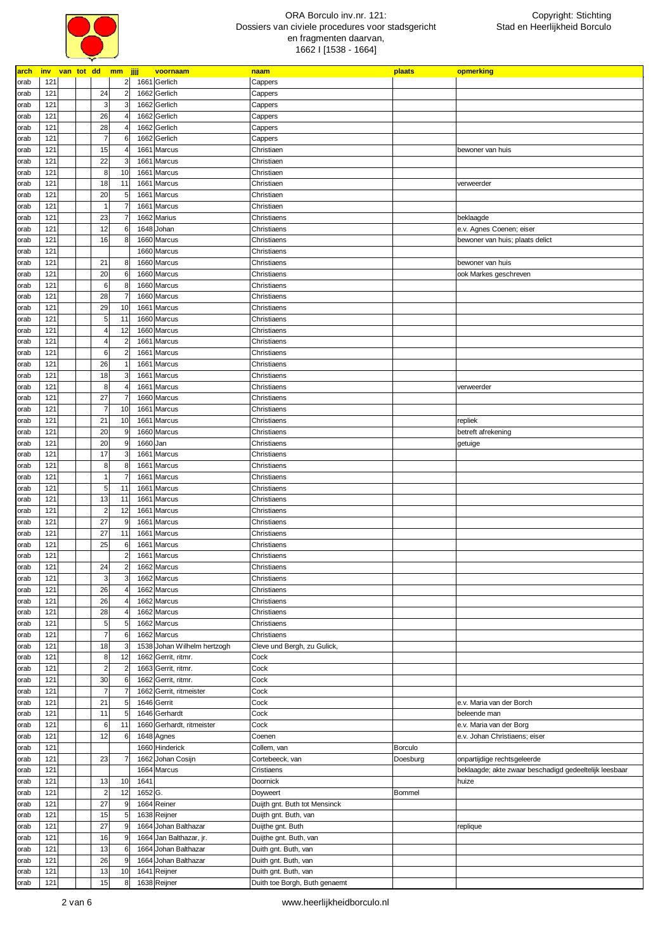

| arch | inv van tot dd mm jjjj |  |                |                 |         | voornaam                    | naam                          | plaats   | opmerking                                              |
|------|------------------------|--|----------------|-----------------|---------|-----------------------------|-------------------------------|----------|--------------------------------------------------------|
| orab | 121                    |  |                | $2 \vert$       |         | 1661 Gerlich                | Cappers                       |          |                                                        |
| orab | 121                    |  | 24             | $\overline{2}$  |         | 1662 Gerlich                | Cappers                       |          |                                                        |
| orab | 121                    |  | 3              | 3               |         | 1662 Gerlich                | Cappers                       |          |                                                        |
| orab | 121                    |  | 26             |                 |         | 1662 Gerlich                | Cappers                       |          |                                                        |
|      | 121                    |  | 28             |                 |         | 1662 Gerlich                |                               |          |                                                        |
| orab |                        |  |                |                 |         |                             | Cappers                       |          |                                                        |
| orab | 121                    |  |                | 6               |         | 1662 Gerlich                | Cappers                       |          |                                                        |
| orab | 121                    |  | 15             |                 | 1661    | Marcus                      | Christiaen                    |          | bewoner van huis                                       |
| orab | 121                    |  | 22             | 3               | 1661    | Marcus                      | Christiaen                    |          |                                                        |
| orab | 121                    |  | 8              | 10              | 1661    | Marcus                      | Christiaen                    |          |                                                        |
| orab | 121                    |  | 18             | 11              | 1661    | Marcus                      | Christiaen                    |          | verweerder                                             |
| orab | 121                    |  | 20             | 5 <sub>5</sub>  | 1661    | Marcus                      | Christiaen                    |          |                                                        |
| orab | 121                    |  |                |                 | 1661    | Marcus                      | Christiaen                    |          |                                                        |
| orab | 121                    |  | 23             |                 | 1662    | Marius                      | Christiaens                   |          | beklaagde                                              |
| orab | 121                    |  | 12             | 6               | 1648    | Johan                       | Christiaens                   |          | e.v. Agnes Coenen; eiser                               |
| orab | 121                    |  | 16             | 8               |         | 1660 Marcus                 | Christiaens                   |          | bewoner van huis; plaats delict                        |
|      |                        |  |                |                 |         |                             |                               |          |                                                        |
| orab | 121                    |  |                |                 |         | 1660 Marcus                 | Christiaens                   |          |                                                        |
| orab | 121                    |  | 21             | 8               |         | 1660 Marcus                 | Christiaens                   |          | bewoner van huis                                       |
| orab | 121                    |  | 20             | 6               |         | 1660 Marcus                 | Christiaens                   |          | ook Markes geschreven                                  |
| orab | 121                    |  | 6              | 8               |         | 1660 Marcus                 | Christiaens                   |          |                                                        |
| orab | 121                    |  | 28             | $\overline{7}$  |         | 1660 Marcus                 | Christiaens                   |          |                                                        |
| orab | 121                    |  | 29             | 10              | 1661    | Marcus                      | Christiaens                   |          |                                                        |
| orab | 121                    |  | 5              | 11              |         | 1660 Marcus                 | Christiaens                   |          |                                                        |
| orab | 121                    |  |                | 12              |         | 1660 Marcus                 | Christiaens                   |          |                                                        |
| orab | 121                    |  | 4              | $\overline{2}$  | 1661    | Marcus                      | Christiaens                   |          |                                                        |
|      |                        |  |                |                 |         |                             |                               |          |                                                        |
| orab | 121                    |  | 6              | $\overline{2}$  | 1661    | Marcus                      | Christiaens                   |          |                                                        |
| orab | 121                    |  | 26             |                 | 1661    | Marcus                      | Christiaens                   |          |                                                        |
| orab | 121                    |  | 18             | 3               | 1661    | Marcus                      | Christiaens                   |          |                                                        |
| orab | 121                    |  | 8              |                 | 1661    | Marcus                      | Christiaens                   |          | verweerder                                             |
| orab | 121                    |  | 27             | $\overline{7}$  |         | 1660 Marcus                 | Christiaens                   |          |                                                        |
| orab | 121                    |  | 7              | 10              | 1661    | Marcus                      | Christiaens                   |          |                                                        |
| orab | 121                    |  | 21             | 10              | 1661    | Marcus                      | Christiaens                   |          | repliek                                                |
| orab | 121                    |  | 20             | 9               |         | 1660 Marcus                 | Christiaens                   |          | betreft afrekening                                     |
|      | 121                    |  | 20             | 9               | 1660    |                             |                               |          |                                                        |
| orab |                        |  |                |                 |         | Jan                         | Christiaens                   |          | getuige                                                |
| orab | 121                    |  | 17             | 3               | 1661    | Marcus                      | Christiaens                   |          |                                                        |
| orab | 121                    |  | 8              | 8               | 1661    | Marcus                      | Christiaens                   |          |                                                        |
| orab | 121                    |  |                |                 | 1661    | Marcus                      | Christiaens                   |          |                                                        |
| orab | 121                    |  | 5              | 11              | 1661    | Marcus                      | Christiaens                   |          |                                                        |
| orab | 121                    |  | 13             | 11              | 1661    | Marcus                      | Christiaens                   |          |                                                        |
| orab | 121                    |  | $\overline{2}$ | 12              | 1661    | Marcus                      | Christiaens                   |          |                                                        |
| orab | 121                    |  | 27             | 9               | 1661    | Marcus                      | Christiaens                   |          |                                                        |
|      | 121                    |  | 27             | 11              | 1661    | Marcus                      | Christiaens                   |          |                                                        |
| orab |                        |  |                |                 |         |                             |                               |          |                                                        |
| orab | 121                    |  | 25             | 6               | 1661    | Marcus                      | Christiaens                   |          |                                                        |
| orab | 121                    |  |                | $\overline{2}$  | 1661    | Marcus                      | Christiaens                   |          |                                                        |
| orab | 121                    |  | 24             | $\overline{2}$  |         | 1662 Marcus                 | Christiaens                   |          |                                                        |
| orab | 121                    |  | 3              | 3               |         | 1662 Marcus                 | Christiaens                   |          |                                                        |
| orab | 121                    |  | 26             |                 |         | 1662 Marcus                 | Christiaens                   |          |                                                        |
| orab | 121                    |  | 26             |                 |         | 1662 Marcus                 | Christiaens                   |          |                                                        |
| orab | 121                    |  | 28             |                 |         | 1662 Marcus                 | Christiaens                   |          |                                                        |
| orab | 121                    |  | 5              | 5               |         | 1662 Marcus                 | Christiaens                   |          |                                                        |
| orab | 121                    |  | $\overline{7}$ | 6               |         | 1662 Marcus                 | Christiaens                   |          |                                                        |
|      |                        |  |                |                 |         |                             |                               |          |                                                        |
| orab | 121                    |  | 18             | 3               |         | 1538 Johan Wilhelm hertzogh | Cleve und Bergh, zu Gulick,   |          |                                                        |
| orab | 121                    |  | 8              | 12              | 1662    | Gerrit, ritmr.              | Cock                          |          |                                                        |
| orab | 121                    |  | $\overline{2}$ | $\overline{a}$  |         | 1663 Gerrit, ritmr.         | Cock                          |          |                                                        |
| orab | 121                    |  | 30             | 6               |         | 1662 Gerrit, ritmr.         | Cock                          |          |                                                        |
| orab | 121                    |  |                |                 | 1662    | Gerrit, ritmeister          | Cock                          |          |                                                        |
| orab | 121                    |  | 21             | 5               |         | 1646 Gerrit                 | Cock                          |          | e.v. Maria van der Borch                               |
| orab | 121                    |  | 11             | 5               |         | 1646 Gerhardt               | Cock                          |          | beleende man                                           |
| orab | 121                    |  | 6              | 11              | 1660    | Gerhardt, ritmeister        | Cock                          |          | e.v. Maria van der Borg                                |
| orab | 121                    |  | 12             | $6\phantom{1}6$ |         | 1648 Agnes                  | Coenen                        |          | e.v. Johan Christiaens; eiser                          |
|      |                        |  |                |                 |         |                             |                               |          |                                                        |
| orab | 121                    |  |                |                 |         | 1660 Hinderick              | Collem, van                   | Borculo  |                                                        |
| orab | 121                    |  | 23             | $\overline{7}$  | 1662    | Johan Cosijn                | Cortebeeck, van               | Doesburg | onpartijdige rechtsgeleerde                            |
| orab | 121                    |  |                |                 |         | 1664 Marcus                 | Cristiaens                    |          | beklaagde; akte zwaar beschadigd gedeeltelijk leesbaar |
| orab | 121                    |  | 13             | 10              | 1641    |                             | Doornick                      |          | huize                                                  |
| orab | 121                    |  | $\overline{2}$ | 12              | 1652 G. |                             | Doyweert                      | Bommel   |                                                        |
| orab | 121                    |  | 27             | 9               |         | 1664 Reiner                 | Duijth gnt. Buth tot Mensinck |          |                                                        |
| orab | 121                    |  | 15             | 5 <sup>1</sup>  |         | 1638 Reijner                | Duijth gnt. Buth, van         |          |                                                        |
| orab | 121                    |  | 27             | 9               |         | 1664 Johan Balthazar        | Duijthe gnt. Buth             |          | replique                                               |
|      |                        |  |                |                 |         |                             |                               |          |                                                        |
| orab | 121                    |  | 16             | 9               |         | 1664 Jan Balthazar, jr.     | Duijthe gnt. Buth, van        |          |                                                        |
| orab | 121                    |  | 13             | 6               |         | 1664 Johan Balthazar        | Duith gnt. Buth, van          |          |                                                        |
| orab | 121                    |  | 26             | 9               | 1664    | Johan Balthazar             | Duith gnt. Buth, van          |          |                                                        |
| orab | 121                    |  | 13             | 10              |         | 1641 Reijner                | Duith gnt. Buth, van          |          |                                                        |
| orab | 121                    |  | 15             | 8 <sup>1</sup>  |         | 1638 Reijner                | Duith toe Borgh, Buth genaemt |          |                                                        |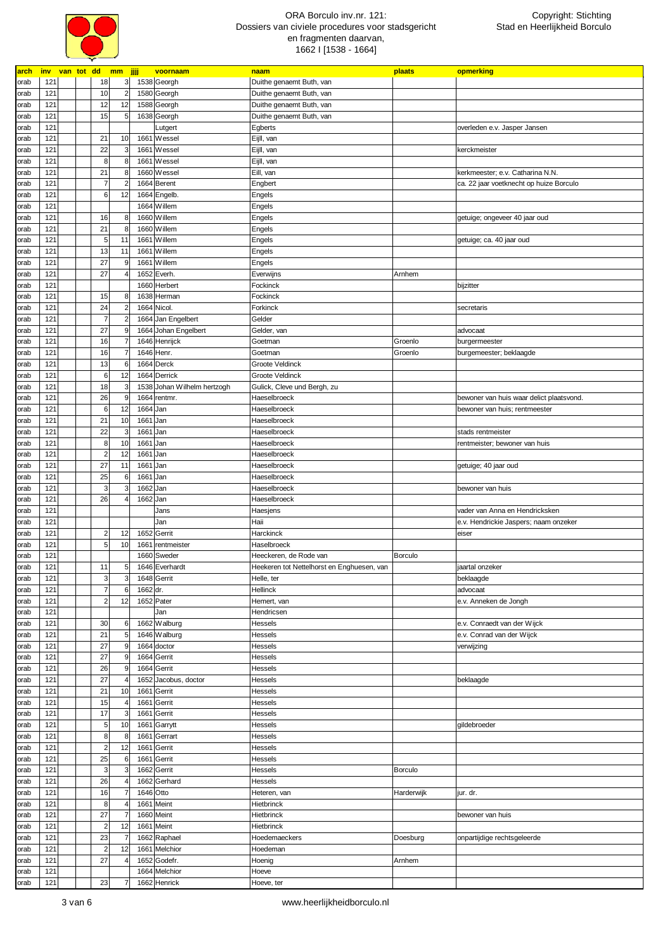

| <u>arch</u> |     |  | inv van tot dd mm jjjj  |                | voornaam                    | naam                                       | plaats         | opmerking                                |
|-------------|-----|--|-------------------------|----------------|-----------------------------|--------------------------------------------|----------------|------------------------------------------|
| orab        | 121 |  | 18                      | 3              | 1538 Georgh                 | Duithe genaemt Buth, van                   |                |                                          |
| orab        | 121 |  | 10                      | $\overline{2}$ | 1580 Georgh                 | Duithe genaemt Buth, van                   |                |                                          |
| orab        | 121 |  | 12                      | 12             | 1588 Georgh                 | Duithe genaemt Buth, van                   |                |                                          |
|             | 121 |  | 15                      | 5              |                             |                                            |                |                                          |
| orab        |     |  |                         |                | 1638 Georgh                 | Duithe genaemt Buth, van                   |                |                                          |
| orab        | 121 |  |                         |                | Lutgert                     | Egberts                                    |                | overleden e.v. Jasper Jansen             |
| orab        | 121 |  | 21                      | 10             | 1661 Wessel                 | Eijll, van                                 |                |                                          |
| orab        | 121 |  | 22                      | 3              | 1661 Wessel                 | Eijll, van                                 |                | kerckmeister                             |
| orab        | 121 |  | $\bf 8$                 | 8              | 1661 Wessel                 | Eijll, van                                 |                |                                          |
| orab        | 121 |  | 21                      |                | 1660 Wessel                 | Eill, van                                  |                | kerkmeester; e.v. Catharina N.N.         |
| orab        | 121 |  | $\overline{7}$          | $\overline{2}$ | 1664 Berent                 | Engbert                                    |                | ca. 22 jaar voetknecht op huize Borculo  |
| orab        | 121 |  | 6                       | 12             | 1664 Engelb.                | Engels                                     |                |                                          |
|             |     |  |                         |                |                             |                                            |                |                                          |
| orab        | 121 |  |                         |                | 1664 Willem                 | Engels                                     |                |                                          |
| orab        | 121 |  | 16                      | 8              | 1660 Willem                 | Engels                                     |                | getuige; ongeveer 40 jaar oud            |
| orab        | 121 |  | 21                      | 8              | 1660 Willem                 | Engels                                     |                |                                          |
| orab        | 121 |  | 5                       | 11             | 1661 Willem                 | Engels                                     |                | getuige; ca. 40 jaar oud                 |
| orab        | 121 |  | 13                      | 11             | 1661 Willem                 | Engels                                     |                |                                          |
| orab        | 121 |  | 27                      | 9              | 1661 Willem                 | Engels                                     |                |                                          |
| orab        | 121 |  | 27                      |                | 1652 Everh.                 | Everwijns                                  | Arnhem         |                                          |
| orab        | 121 |  |                         |                | 1660 Herbert                | Fockinck                                   |                | bijzitter                                |
|             |     |  |                         |                |                             |                                            |                |                                          |
| orab        | 121 |  | 15                      |                | 1638 Herman                 | Fockinck                                   |                |                                          |
| orab        | 121 |  | 24                      |                | 1664 Nicol.                 | Forkinck                                   |                | secretaris                               |
| orab        | 121 |  | $\overline{7}$          | 2              | 1664 Jan Engelbert          | Gelder                                     |                |                                          |
| orab        | 121 |  | 27                      |                | 1664 Johan Engelbert        | Gelder, van                                |                | advocaat                                 |
| orab        | 121 |  | 16                      |                | 1646 Henrijck               | Goetman                                    | Groenlo        | burgermeester                            |
| orab        | 121 |  | 16                      |                | 1646 Henr.                  | Goetman                                    | Groenlo        | burgemeester; beklaagde                  |
|             |     |  |                         |                |                             |                                            |                |                                          |
| orab        | 121 |  | 13                      | 6              | 1664 Derck                  | Groote Veldinck                            |                |                                          |
| orab        | 121 |  | 6                       | 12             | 1664 Derrick                | Groote Veldinck                            |                |                                          |
| orab        | 121 |  | 18                      | 3              | 1538 Johan Wilhelm hertzogh | Gulick, Cleve und Bergh, zu                |                |                                          |
| orab        | 121 |  | 26                      | 9              | 1664 rentmr.                | Haeselbroeck                               |                | bewoner van huis waar delict plaatsvond. |
| orab        | 121 |  | 6                       | 12             | 1664 Jan                    | Haeselbroeck                               |                | bewoner van huis; rentmeester            |
| orab        | 121 |  | 21                      | 10             | 1661 Jan                    | Haeselbroeck                               |                |                                          |
|             | 121 |  | 22                      | 3              | 1661 Jan                    | Haeselbroeck                               |                |                                          |
| orab        |     |  |                         |                |                             |                                            |                | stads rentmeister                        |
| orab        | 121 |  | 8                       | 10             | 1661 Jan                    | Haeselbroeck                               |                | rentmeister; bewoner van huis            |
| orab        | 121 |  | $\overline{2}$          | 12             | 1661 Jan                    | Haeselbroeck                               |                |                                          |
| orab        | 121 |  | 27                      | 11             | 1661 Jan                    | Haeselbroeck                               |                | getuige; 40 jaar oud                     |
| orab        | 121 |  | 25                      | 6              | 1661 Jan                    | Haeselbroeck                               |                |                                          |
| orab        | 121 |  | 3                       |                | 1662 Jan                    | Haeselbroeck                               |                | bewoner van huis                         |
| orab        | 121 |  | 26                      |                | 1662 Jan                    | Haeselbroeck                               |                |                                          |
|             |     |  |                         |                |                             |                                            |                |                                          |
| orab        | 121 |  |                         |                | Jans                        | Haesjens                                   |                | vader van Anna en Hendricksken           |
| orab        | 121 |  |                         |                | Jan                         | Haii                                       |                | e.v. Hendrickie Jaspers; naam onzeker    |
| orab        | 121 |  | $\overline{2}$          | 12             | 1652 Gerrit                 | Harckinck                                  |                | eiser                                    |
| orab        | 121 |  | 5                       | 10             | 1661 rentmeister            | Haselbroeck                                |                |                                          |
| orab        | 121 |  |                         |                | 1660 Sweder                 | Heeckeren, de Rode van                     | <b>Borculo</b> |                                          |
| orab        | 121 |  | 11                      | 5              | 1646 Everhardt              | Heekeren tot Nettelhorst en Enghuesen, van |                | jaartal onzeker                          |
|             | 121 |  | $\overline{\mathbf{3}}$ | 3              | 1648 Gerrit                 | Helle, ter                                 |                | beklaagde                                |
| orab        |     |  |                         |                |                             |                                            |                |                                          |
| orab        | 121 |  | $\overline{7}$          | 6              | 1662 dr.                    | Hellinck                                   |                | advocaat                                 |
| orab        | 121 |  | $\overline{2}$          | 12             | 1652 Pater                  | Hemert, van                                |                | e.v. Anneken de Jongh                    |
| orab        | 121 |  |                         |                | Jan                         | Hendricsen                                 |                |                                          |
| orab        | 121 |  | 30                      | 6              | 1662 Walburg                | Hessels                                    |                | e.v. Conraedt van der Wijck              |
| orab        | 121 |  | 21                      | 5              | 1646 Walburg                | Hessels                                    |                | e.v. Conrad van der Wijck                |
| orab        | 121 |  | 27                      | 9              | 1664 doctor                 | Hessels                                    |                | verwijzing                               |
|             | 121 |  | 27                      | 9              | 1664 Gerrit                 | Hessels                                    |                |                                          |
| orab        |     |  |                         |                |                             |                                            |                |                                          |
| orab        | 121 |  | 26                      | 9              | 1664 Gerrit                 | Hessels                                    |                |                                          |
| orab        | 121 |  | 27                      |                | 1652 Jacobus, doctor        | Hessels                                    |                | beklaagde                                |
| orab        | 121 |  | 21                      | 10             | 1661 Gerrit                 | Hessels                                    |                |                                          |
| orab        | 121 |  | 15                      | 4              | 1661 Gerrit                 | Hessels                                    |                |                                          |
| orab        | 121 |  | 17                      | 3              | 1661 Gerrit                 | Hessels                                    |                |                                          |
| orab        | 121 |  | 5                       | 10             | 1661 Garrytt                | Hessels                                    |                | gildebroeder                             |
|             |     |  |                         |                |                             |                                            |                |                                          |
| orab        | 121 |  | $\boldsymbol{8}$        | 8              | 1661 Gerrart                | Hessels                                    |                |                                          |
| orab        | 121 |  | $\overline{2}$          | 12             | 1661 Gerrit                 | Hessels                                    |                |                                          |
| orab        | 121 |  | 25                      | 6              | 1661 Gerrit                 | Hessels                                    |                |                                          |
| orab        | 121 |  | $\mathbf{3}$            | 3              | 1662 Gerrit                 | Hessels                                    | Borculo        |                                          |
| orab        | 121 |  | 26                      |                | 1662 Gerhard                | Hessels                                    |                |                                          |
| orab        | 121 |  | 16                      |                | 1646 Otto                   | Heteren, van                               | Harderwijk     | jur. dr.                                 |
|             |     |  |                         |                |                             |                                            |                |                                          |
| orab        | 121 |  | 8                       |                | 1661 Meint                  | Hietbrinck                                 |                |                                          |
| orab        | 121 |  | 27                      |                | 1660 Meint                  | Hietbrinck                                 |                | bewoner van huis                         |
| orab        | 121 |  | $\overline{a}$          | 12             | 1661 Meint                  | Hietbrinck                                 |                |                                          |
| orab        | 121 |  | 23                      |                | 1662 Raphael                | Hoedemaeckers                              | Doesburg       | onpartijdige rechtsgeleerde              |
| orab        | 121 |  | $\overline{2}$          | 12             | 1661 Melchior               | Hoedeman                                   |                |                                          |
| orab        | 121 |  | 27                      | $\overline{4}$ | 1652 Godefr.                | Hoenig                                     | Arnhem         |                                          |
|             |     |  |                         |                |                             |                                            |                |                                          |
| orab        | 121 |  |                         |                | 1664 Melchior               | Hoeve                                      |                |                                          |
| orab        | 121 |  | 23                      | $\overline{7}$ | 1662 Henrick                | Hoeve, ter                                 |                |                                          |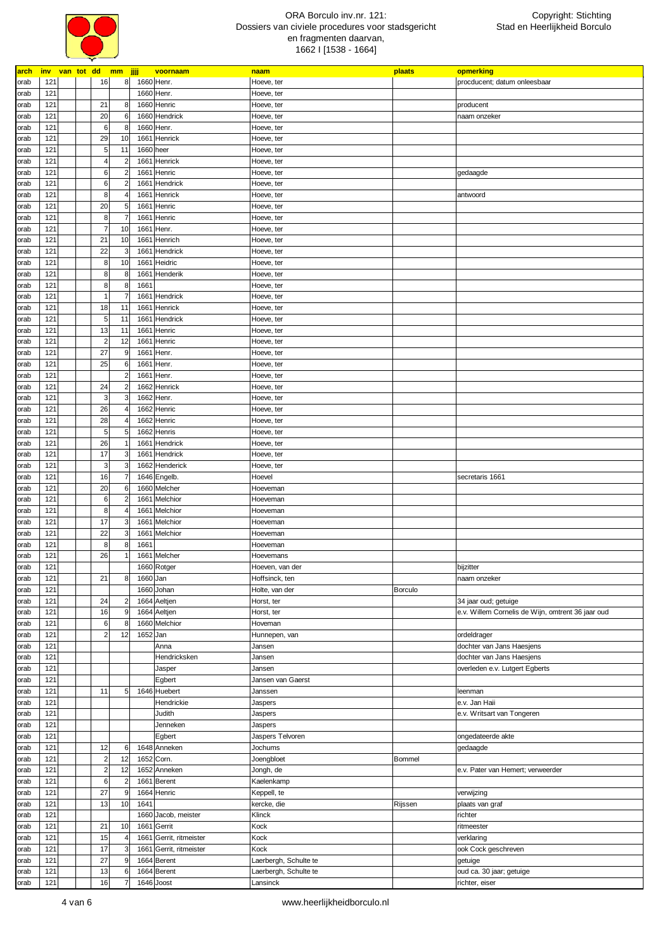

| arch inv van tot dd mm jjjj |     |  |                  |                |           | voornaam                | naam                  | plaats         | opmerking                                         |
|-----------------------------|-----|--|------------------|----------------|-----------|-------------------------|-----------------------|----------------|---------------------------------------------------|
| orab                        | 121 |  | 16               | 8              |           | 1660 Henr.              | Hoeve, ter            |                | procducent; datum onleesbaar                      |
| orab                        | 121 |  |                  |                |           | 1660 Henr.              | Hoeve, ter            |                |                                                   |
| orab                        | 121 |  | 21               | 8              |           | 1660 Henric             | Hoeve, ter            |                | producent                                         |
| orab                        | 121 |  | 20               | 6              |           | 1660 Hendrick           | Hoeve, ter            |                | naam onzeker                                      |
| orab                        | 121 |  | 6                | 8              |           | 1660 Henr.              | Hoeve, ter            |                |                                                   |
| orab                        | 121 |  | 29               | 10             |           | 1661 Henrick            | Hoeve, ter            |                |                                                   |
| orab                        | 121 |  | 5                | 11             | 1660 heer |                         | Hoeve, ter            |                |                                                   |
| orab                        | 121 |  | $\overline{4}$   | $\overline{2}$ |           | 1661 Henrick            | Hoeve, ter            |                |                                                   |
| orab                        | 121 |  | 6                | 2              |           | 1661 Henric             | Hoeve, ter            |                | gedaagde                                          |
| orab                        | 121 |  | 6                |                |           | 1661 Hendrick           | Hoeve, ter            |                |                                                   |
| orab                        | 121 |  | 8                |                |           | 1661 Henrick            | Hoeve, ter            |                | antwoord                                          |
| orab                        | 121 |  | 20               | 5              |           | 1661 Henric             | Hoeve, ter            |                |                                                   |
| orab                        | 121 |  | 8                |                |           | 1661 Henric             | Hoeve, ter            |                |                                                   |
| orab                        | 121 |  | $\overline{7}$   | 10             |           | 1661 Henr.              | Hoeve, ter            |                |                                                   |
| orab                        | 121 |  | 21               | 10             |           | 1661 Henrich            | Hoeve, ter            |                |                                                   |
| orab                        | 121 |  | 22               | 3              |           | 1661 Hendrick           | Hoeve, ter            |                |                                                   |
| orab                        | 121 |  | 8                | 10             |           | 1661 Heidric            | Hoeve, ter            |                |                                                   |
| orab                        | 121 |  | 8                | 8              |           | 1661 Henderik           | Hoeve, ter            |                |                                                   |
| orab                        | 121 |  | 8                | 8              | 1661      |                         | Hoeve, ter            |                |                                                   |
| orab                        | 121 |  |                  |                |           | 1661 Hendrick           | Hoeve, ter            |                |                                                   |
| orab                        | 121 |  | 18               | 11             |           | 1661 Henrick            | Hoeve, ter            |                |                                                   |
| orab                        | 121 |  | 5                | 11             |           | 1661 Hendrick           | Hoeve, ter            |                |                                                   |
| orab                        | 121 |  | 13               | 11             |           | 1661 Henric             | Hoeve, ter            |                |                                                   |
| orab                        | 121 |  | $\overline{2}$   | 12             |           | 1661 Henric             | Hoeve, ter            |                |                                                   |
| orab                        | 121 |  | 27               | 9              |           | 1661 Henr.              | Hoeve, ter            |                |                                                   |
| orab                        | 121 |  | 25               | 6              |           | 1661 Henr.              | Hoeve, ter            |                |                                                   |
| orab                        | 121 |  |                  |                |           | 1661 Henr.              | Hoeve, ter            |                |                                                   |
| orab                        | 121 |  | 24               |                |           | 1662 Henrick            | Hoeve, ter            |                |                                                   |
| orab                        | 121 |  | 3                |                |           | 1662 Henr.              | Hoeve, ter            |                |                                                   |
| orab                        | 121 |  | 26               |                |           | 1662 Henric             | Hoeve, ter            |                |                                                   |
| orab                        | 121 |  | 28               |                |           | 1662 Henric             | Hoeve, ter            |                |                                                   |
| orab                        | 121 |  | 5                | 5              |           | 1662 Henris             | Hoeve, ter            |                |                                                   |
| orab                        | 121 |  | 26               |                |           | 1661 Hendrick           | Hoeve, ter            |                |                                                   |
| orab                        | 121 |  | 17               | 3              |           | 1661 Hendrick           | Hoeve, ter            |                |                                                   |
| orab                        | 121 |  | 3                | 3              |           | 1662 Henderick          | Hoeve, ter            |                |                                                   |
| orab                        | 121 |  | 16               |                |           | 1646 Engelb.            | Hoevel                |                | secretaris 1661                                   |
| orab                        | 121 |  | 20               | 6              |           | 1660 Melcher            | Hoeveman              |                |                                                   |
| orab                        | 121 |  | 6                |                |           | 1661 Melchior           | Hoeveman              |                |                                                   |
| orab                        | 121 |  | 8                |                |           | 1661 Melchior           | Hoeveman              |                |                                                   |
| orab                        | 121 |  | 17               | 3              |           | 1661 Melchior           | Hoeveman              |                |                                                   |
| orab                        | 121 |  | 22               | 3              | 1661      | Melchior                | Hoeveman              |                |                                                   |
| orab                        | 121 |  | 8                | 8              | 1661      |                         | Hoeveman              |                |                                                   |
| orab                        | 121 |  | 26               |                |           | 1661 Melcher            | Hoevemans             |                |                                                   |
| orab                        | 121 |  |                  |                |           | 1660 Rotger             | Hoeven, van der       |                | bijzitter                                         |
| orab                        | 121 |  | 21               | 8              | 1660 Jan  |                         | Hoffsinck, ten        |                | naam onzeker                                      |
| orab                        | 121 |  |                  |                |           | 1660 Johan              | Holte, van der        | <b>Borculo</b> |                                                   |
| orab                        | 121 |  | 24               |                |           | 1664 Aeltjen            | Horst, ter            |                | 34 jaar oud; getuige                              |
| orab                        | 121 |  | 16               | 9              |           | 1664 Aeltjen            | Horst, ter            |                | e.v. Willem Cornelis de Wijn, omtrent 36 jaar oud |
| orab                        | 121 |  | 6                | 8              |           | 1660 Melchior           | Hoveman               |                |                                                   |
| orab                        | 121 |  | $\overline{2}$   | 12             | 1652 Jan  |                         | Hunnepen, van         |                | ordeldrager                                       |
| orab                        | 121 |  |                  |                |           | Anna                    | Jansen                |                | dochter van Jans Haesjens                         |
| orab                        | 121 |  |                  |                |           | Hendricksken            | Jansen                |                | dochter van Jans Haesjens                         |
| orab                        | 121 |  |                  |                |           | Jasper                  | Jansen                |                | overleden e.v. Lutgert Egberts                    |
| orab                        | 121 |  |                  |                |           | Egbert                  | Jansen van Gaerst     |                |                                                   |
| orab                        | 121 |  | 11               | 5 <sub>5</sub> |           | 1646 Huebert            | Janssen               |                | leenman                                           |
| orab                        | 121 |  |                  |                |           | Hendrickie              | Jaspers               |                | e.v. Jan Haii                                     |
| orab                        | 121 |  |                  |                |           | Judith                  | Jaspers               |                | e.v. Writsart van Tongeren                        |
| orab                        | 121 |  |                  |                |           | Jenneken                | Jaspers               |                |                                                   |
| orab                        | 121 |  |                  |                |           | Egbert                  | Jaspers Telvoren      |                | ongedateerde akte                                 |
| orab                        | 121 |  | 12               | 6              |           | 1648 Anneken            | Jochums               |                | gedaagde                                          |
| orab                        | 121 |  | $\overline{a}$   | 12             |           | 1652 Corn.              | Joengbloet            | <b>Bommel</b>  |                                                   |
| orab                        | 121 |  | $2 \overline{2}$ | 12             |           | 1652 Anneken            | Jongh, de             |                | e.v. Pater van Hemert; verweerder                 |
| orab                        | 121 |  | $\,6$            |                |           | 1661 Berent             | Kaelenkamp            |                |                                                   |
| orab                        | 121 |  | 27               | 9              |           | 1664 Henric             | Keppell, te           |                | verwijzing                                        |
| orab                        | 121 |  | 13               | 10             | 1641      |                         | kercke, die           | Rijssen        | plaats van graf                                   |
| orab                        | 121 |  |                  |                |           | 1660 Jacob, meister     | Klinck                |                | richter                                           |
| orab                        | 121 |  | 21               | 10             |           | 1661 Gerrit             | Kock                  |                | ritmeester                                        |
| orab                        | 121 |  | 15               |                |           | 1661 Gerrit, ritmeister | Kock                  |                | verklaring                                        |
| orab                        | 121 |  | 17               |                |           | 1661 Gerrit, ritmeister | Kock                  |                | ook Cock geschreven                               |
| orab                        | 121 |  | 27               | 9              |           | 1664 Berent             | Laerbergh, Schulte te |                | getuige                                           |
| orab                        | 121 |  | 13               | 6              |           | 1664 Berent             | Laerbergh, Schulte te |                | oud ca. 30 jaar; getuige                          |
| orab                        | 121 |  | 16               |                |           | 1646 Joost              | Lansinck              |                | richter, eiser                                    |
|                             |     |  |                  |                |           |                         |                       |                |                                                   |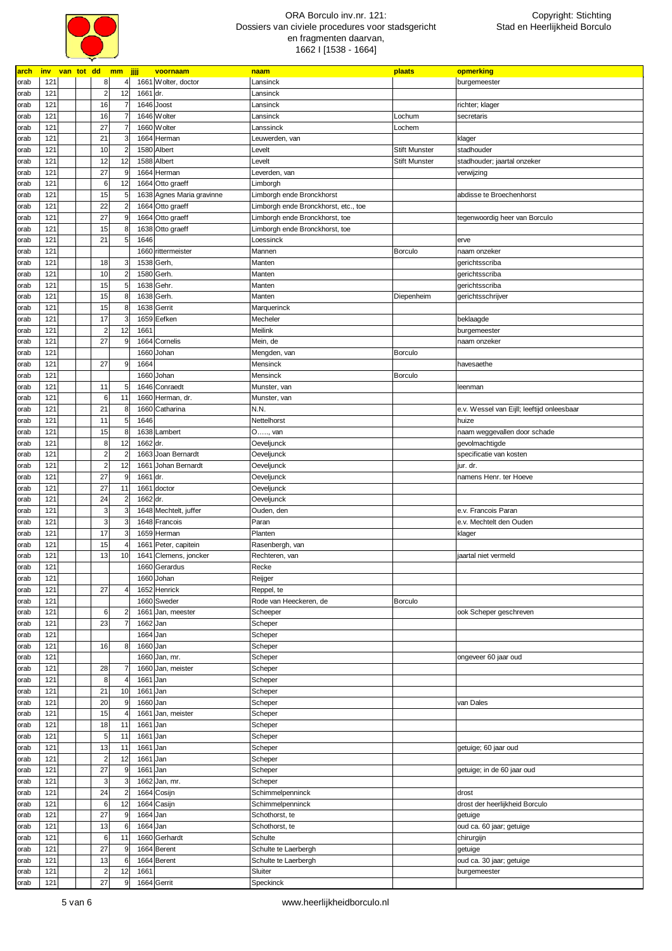

| arch | <b>inv</b> | van tot dd mm jjjj      |                            | voornaam                  | naam                                 | plaats               | opmerking                                  |
|------|------------|-------------------------|----------------------------|---------------------------|--------------------------------------|----------------------|--------------------------------------------|
| orab | 121        | 8                       | $\overline{4}$             | 1661 Wolter, doctor       | Lansinck                             |                      | burgemeester                               |
| orab | 121        | $\overline{2}$<br>12    | 1661 dr.                   |                           | Lansinck                             |                      |                                            |
| orab | 121        | 16<br>$\overline{7}$    |                            | 1646 Joost                | Lansinck                             |                      | richter; klager                            |
| orab | 121        | 16                      |                            | 1646 Wolter               | Lansinck                             | Lochum               | secretaris                                 |
| orab | 121        | 27                      |                            | 1660 Wolter               | Lanssinck                            | Lochem               |                                            |
| orab | 121        | 21<br>3                 |                            | 1664 Herman               | Leuwerden, van                       |                      | klager                                     |
| orab | 121        | 10                      | $\overline{2}$             | 1580 Albert               | Levelt                               | <b>Stift Munster</b> | stadhouder                                 |
| orab | 121        | 12<br>12                |                            | 1588 Albert               | Levelt                               | <b>Stift Munster</b> | stadhouder; jaartal onzeker                |
| orab | 121        | 27<br>9                 |                            | 1664 Herman               | Leverden, van                        |                      | verwijzing                                 |
|      | 121        | 6<br>12                 |                            | 1664 Otto graeff          | Limborgh                             |                      |                                            |
| orab |            |                         |                            |                           |                                      |                      | abdisse te Broechenhorst                   |
| orab | 121        | 15<br>5                 |                            | 1638 Agnes Maria gravinne | Limborgh ende Bronckhorst            |                      |                                            |
| orab | 121        | 22                      | $\overline{2}$             | 1664 Otto graeff          | Limborgh ende Bronckhorst, etc., toe |                      |                                            |
| orab | 121        | 27                      | 9                          | 1664 Otto graeff          | Limborgh ende Bronckhorst, toe       |                      | tegenwoordig heer van Borculo              |
| orab | 121        | 15<br>8                 |                            | 1638 Otto graeff          | Limborgh ende Bronckhorst, toe       |                      |                                            |
| orab | 121        | 21                      | 5 <sup>1</sup><br>1646     |                           | Loessinck                            |                      | erve                                       |
| orab | 121        |                         |                            | 1660 rittermeister        | Mannen                               | Borculo              | naam onzeker                               |
| orab | 121        | 18<br>3                 |                            | 1538 Gerh,                | Manten                               |                      | gerichtsscriba                             |
| orab | 121        | 10                      | $\overline{2}$             | 1580 Gerh.                | Manten                               |                      | gerichtsscriba                             |
| orab | 121        | 15                      | 5 <sub>l</sub>             | 1638 Gehr.                | Manten                               |                      | gerichtsscriba                             |
| orab | 121        | 15<br>8                 |                            | 1638 Gerh.                | Manten                               | Diepenheim           | gerichtsschrijver                          |
| orab | 121        | 15                      | 8                          | 1638 Gerrit               | Marquerinck                          |                      |                                            |
| orab | 121        | 17<br>3                 |                            | 1659 Eefken               | Mecheler                             |                      | beklaagde                                  |
| orab | 121        | $\overline{c}$<br>12    | 1661                       |                           | Meilink                              |                      | burgemeester                               |
|      | 121        | 27                      | $\mathsf{g}$               | 1664 Cornelis             |                                      |                      |                                            |
| orab |            |                         |                            |                           | Mein, de                             |                      | naam onzeker                               |
| orab | 121        |                         |                            | 1660 Johan                | Mengden, van                         | Borculo              |                                            |
| orab | 121        | 27<br>9                 | 1664                       |                           | Mensinck                             |                      | havesaethe                                 |
| orab | 121        |                         |                            | 1660 Johan                | Mensinck                             | <b>Borculo</b>       |                                            |
| orab | 121        | 11                      | 5 <sub>l</sub>             | 1646 Conraedt             | Munster, van                         |                      | leenman                                    |
| orab | 121        | 6<br>11                 |                            | 1660 Herman, dr.          | Munster, van                         |                      |                                            |
| orab | 121        | 21<br>8                 |                            | 1660 Catharina            | N.N.                                 |                      | e.v. Wessel van Eijll; leeftijd onleesbaar |
| orab | 121        | $5\overline{5}$<br>11   | 1646                       |                           | Nettelhorst                          |                      | huize                                      |
| orab | 121        | 15<br>8                 |                            | 1638 Lambert              | O, van                               |                      | naam weggevallen door schade               |
| orab | 121        | 12<br>8                 | 1662 dr.                   |                           | Oeveljunck                           |                      | gevolmachtigde                             |
| orab | 121        | $\overline{\mathbf{c}}$ | $\overline{2}$             | 1663 Joan Bernardt        | Oeveljunck                           |                      | specificatie van kosten                    |
| orab | 121        | 12<br>$\overline{a}$    |                            | 1661 Johan Bernardt       | Oeveljunck                           |                      | jur. dr.                                   |
| orab | 121        | 27                      | 9<br>1661                  | dr.                       | Oeveljunck                           |                      | namens Henr. ter Hoeve                     |
| orab | 121        | 27<br>11                | 1661                       | doctor                    | Oeveljunck                           |                      |                                            |
|      |            |                         |                            |                           |                                      |                      |                                            |
| orab | 121        | 24                      | $\overline{2}$<br>1662 dr. |                           | Oeveljunck                           |                      |                                            |
| orab | 121        | 3<br>3                  |                            | 1648 Mechtelt, juffer     | Ouden, den                           |                      | e.v. Francois Paran                        |
| orab | 121        | 3                       | $\overline{\mathbf{3}}$    | 1648 Francois             | Paran                                |                      | e.v. Mechtelt den Ouden                    |
| orab | 121        | 17<br>3                 |                            | 1659 Herman               | Planten                              |                      | klager                                     |
| orab | 121        | 15                      | 1661                       | Peter, capitein           | Rasenbergh, van                      |                      |                                            |
| orab | 121        | 13<br>10                | 1641                       | Clemens, joncker          | Rechteren, van                       |                      | jaartal niet vermeld                       |
| orab | 121        |                         |                            | 1660 Gerardus             | Recke                                |                      |                                            |
| orab | 121        |                         |                            | 1660 Johan                | Reijger                              |                      |                                            |
| orab | 121        | 27<br>4                 |                            | 1652 Henrick              | Reppel, te                           |                      |                                            |
| orab | 121        |                         |                            | 1660 Sweder               | Rode van Heeckeren, de               | Borculo              |                                            |
| orab | 121        | 6                       | $\overline{2}$<br>1661     | Jan, meester              | Scheeper                             |                      | ook Scheper geschreven                     |
| orab | 121        | 23<br>$\overline{7}$    | 1662 Jan                   |                           | Scheper                              |                      |                                            |
|      | 121        |                         | 1664 Jan                   |                           | Scheper                              |                      |                                            |
| orab |            |                         |                            |                           |                                      |                      |                                            |
| orab | 121        | 8<br>16                 | 1660 Jan                   |                           | Scheper                              |                      |                                            |
| orab | 121        |                         |                            | 1660 Jan, mr.             | Scheper                              |                      | ongeveer 60 jaar oud                       |
| orab | 121        | 28                      |                            | 1660 Jan, meister         | Scheper                              |                      |                                            |
| orab | 121        | $\bf 8$<br>4            | 1661                       | Jan                       | Scheper                              |                      |                                            |
| orab | 121        | 21<br>10                | 1661                       | Jan                       | Scheper                              |                      |                                            |
| orab | 121        | 20<br>$\overline{9}$    | 1660 Jan                   |                           | Scheper                              |                      | van Dales                                  |
| orab | 121        | 15<br>4                 | 1661                       | Jan, meister              | Scheper                              |                      |                                            |
| orab | 121        | 18<br>11                | 1661                       | Jan                       | Scheper                              |                      |                                            |
| orab | 121        | 5<br>11                 | 1661 Jan                   |                           | Scheper                              |                      |                                            |
| orab | 121        | 11<br>13                | 1661                       | Jan                       | Scheper                              |                      | getuige; 60 jaar oud                       |
| orab | 121        | 12<br>$\overline{a}$    | 1661 Jan                   |                           | Scheper                              |                      |                                            |
|      | 121        | 27<br>9                 | 1661 Jan                   |                           |                                      |                      |                                            |
| orab |            |                         |                            |                           | Scheper                              |                      | getuige; in de 60 jaar oud                 |
| orab | 121        | $\mathbf{3}$<br>3       |                            | 1662 Jan, mr.             | Scheper                              |                      |                                            |
| orab | 121        | 24                      | $\overline{2}$             | 1664 Cosijn               | Schimmelpenninck                     |                      | drost                                      |
| orab | 121        | 12<br>6                 |                            | 1664 Casijn               | Schimmelpenninck                     |                      | drost der heerlijkheid Borculo             |
| orab | 121        | 27<br>9                 | 1664 Jan                   |                           | Schothorst, te                       |                      | getuige                                    |
| orab | 121        | 6<br>13                 | 1664 Jan                   |                           | Schothorst, te                       |                      | oud ca. 60 jaar; getuige                   |
| orab | 121        | 11<br>6                 |                            | 1660 Gerhardt             | Schulte                              |                      | chirurgijn                                 |
| orab | 121        | 27<br>$\overline{9}$    |                            | 1664 Berent               | Schulte te Laerbergh                 |                      | getuige                                    |
| orab | 121        | 13<br>6                 |                            | 1664 Berent               | Schulte te Laerbergh                 |                      | oud ca. 30 jaar; getuige                   |
| orab | 121        | 12<br>$\overline{a}$    | 1661                       |                           | Sluiter                              |                      | burgemeester                               |
| orab | 121        | 27<br>9                 |                            | 1664 Gerrit               | Speckinck                            |                      |                                            |
|      |            |                         |                            |                           |                                      |                      |                                            |